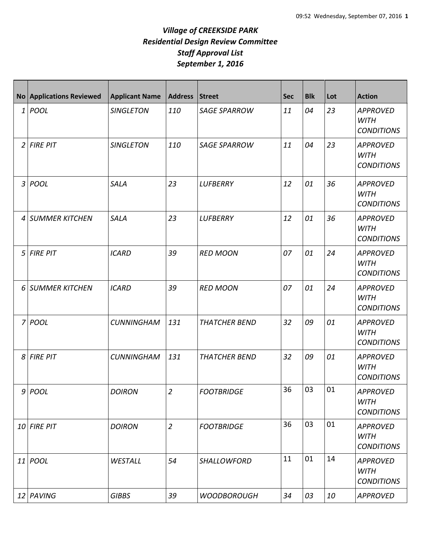## *Village of CREEKSIDE PARK Residential Design Review Committee Staff Approval List September 1, 2016*

|                | No Applications Reviewed | <b>Applicant Name</b> | <b>Address</b> | Street               | <b>Sec</b> | <b>Blk</b> | Lot | <b>Action</b>                                       |
|----------------|--------------------------|-----------------------|----------------|----------------------|------------|------------|-----|-----------------------------------------------------|
|                | $1$ POOL                 | <b>SINGLETON</b>      | 110            | <b>SAGE SPARROW</b>  | 11         | 04         | 23  | <b>APPROVED</b><br><b>WITH</b><br><b>CONDITIONS</b> |
| $\overline{2}$ | <b>FIRE PIT</b>          | <b>SINGLETON</b>      | 110            | <b>SAGE SPARROW</b>  | 11         | 04         | 23  | <b>APPROVED</b><br><b>WITH</b><br><b>CONDITIONS</b> |
| 3              | POOL                     | <b>SALA</b>           | 23             | <b>LUFBERRY</b>      | 12         | 01         | 36  | <b>APPROVED</b><br><b>WITH</b><br><b>CONDITIONS</b> |
| 4              | <b>SUMMER KITCHEN</b>    | <b>SALA</b>           | 23             | <b>LUFBERRY</b>      | 12         | 01         | 36  | <b>APPROVED</b><br><b>WITH</b><br><b>CONDITIONS</b> |
| 5              | <b>FIRE PIT</b>          | <b>ICARD</b>          | 39             | <b>RED MOON</b>      | 07         | 01         | 24  | <b>APPROVED</b><br><b>WITH</b><br><b>CONDITIONS</b> |
| 6              | <b>SUMMER KITCHEN</b>    | <b>ICARD</b>          | 39             | <b>RED MOON</b>      | 07         | 01         | 24  | <b>APPROVED</b><br><b>WITH</b><br><b>CONDITIONS</b> |
| $\overline{7}$ | POOL                     | <b>CUNNINGHAM</b>     | 131            | <b>THATCHER BEND</b> | 32         | 09         | 01  | <b>APPROVED</b><br><b>WITH</b><br><b>CONDITIONS</b> |
| 8              | <b>FIRE PIT</b>          | <b>CUNNINGHAM</b>     | 131            | <b>THATCHER BEND</b> | 32         | 09         | 01  | <b>APPROVED</b><br><b>WITH</b><br><b>CONDITIONS</b> |
|                | 9 POOL                   | <b>DOIRON</b>         | $\overline{2}$ | <b>FOOTBRIDGE</b>    | 36         | 03         | 01  | <b>APPROVED</b><br><b>WITH</b><br><b>CONDITIONS</b> |
|                | 10 FIRE PIT              | <b>DOIRON</b>         | $\overline{2}$ | <b>FOOTBRIDGE</b>    | 36         | 03         | 01  | <b>APPROVED</b><br><b>WITH</b><br><b>CONDITIONS</b> |
|                | 11 POOL                  | WESTALL               | 54             | SHALLOWFORD          | 11         | 01         | 14  | <b>APPROVED</b><br><b>WITH</b><br><b>CONDITIONS</b> |
|                | 12 PAVING                | <b>GIBBS</b>          | 39             | <b>WOODBOROUGH</b>   | 34         | 03         | 10  | <b>APPROVED</b>                                     |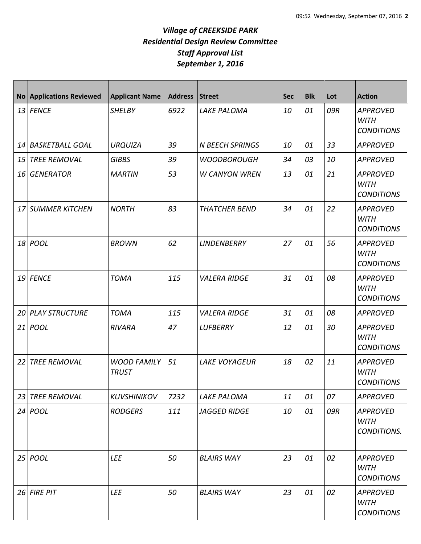## *Village of CREEKSIDE PARK Residential Design Review Committee Staff Approval List September 1, 2016*

|      | <b>No Applications Reviewed</b> | <b>Applicant Name</b>              | <b>Address</b> | Street                 | <b>Sec</b> | <b>Blk</b> | Lot | <b>Action</b>                                       |
|------|---------------------------------|------------------------------------|----------------|------------------------|------------|------------|-----|-----------------------------------------------------|
|      | $13$ FENCE                      | <b>SHELBY</b>                      | 6922           | <b>LAKE PALOMA</b>     | 10         | 01         | 09R | <b>APPROVED</b><br><b>WITH</b><br><b>CONDITIONS</b> |
| 14   | <b>BASKETBALL GOAL</b>          | <b>URQUIZA</b>                     | 39             | <b>N BEECH SPRINGS</b> | 10         | 01         | 33  | <b>APPROVED</b>                                     |
| 15   | <b>TREE REMOVAL</b>             | <b>GIBBS</b>                       | 39             | <b>WOODBOROUGH</b>     | 34         | 03         | 10  | <b>APPROVED</b>                                     |
| 16   | <b>GENERATOR</b>                | <b>MARTIN</b>                      | 53             | <b>W CANYON WREN</b>   | 13         | 01         | 21  | <b>APPROVED</b><br><b>WITH</b><br><b>CONDITIONS</b> |
| 17 I | <b>SUMMER KITCHEN</b>           | <b>NORTH</b>                       | 83             | <b>THATCHER BEND</b>   | 34         | 01         | 22  | <b>APPROVED</b><br><b>WITH</b><br><b>CONDITIONS</b> |
|      | 18 <i>POOL</i>                  | <b>BROWN</b>                       | 62             | <b>LINDENBERRY</b>     | 27         | 01         | 56  | <b>APPROVED</b><br><b>WITH</b><br><b>CONDITIONS</b> |
| 19 l | <b>FENCE</b>                    | <b>TOMA</b>                        | 115            | <b>VALERA RIDGE</b>    | 31         | 01         | 08  | <b>APPROVED</b><br><b>WITH</b><br><b>CONDITIONS</b> |
| 20   | <b>PLAY STRUCTURE</b>           | <b>TOMA</b>                        | 115            | <b>VALERA RIDGE</b>    | 31         | 01         | 08  | <b>APPROVED</b>                                     |
| 21   | <b>POOL</b>                     | <b>RIVARA</b>                      | 47             | <b>LUFBERRY</b>        | 12         | 01         | 30  | <b>APPROVED</b><br><b>WITH</b><br><b>CONDITIONS</b> |
| 22   | <b>TREE REMOVAL</b>             | <b>WOOD FAMILY</b><br><b>TRUST</b> | 51             | <b>LAKE VOYAGEUR</b>   | 18         | 02         | 11  | <b>APPROVED</b><br><b>WITH</b><br><b>CONDITIONS</b> |
| 23   | <b>TREE REMOVAL</b>             | <b>KUVSHINIKOV</b>                 | 7232           | <b>LAKE PALOMA</b>     | 11         | 01         | 07  | <b>APPROVED</b>                                     |
|      | $24$ POOL                       | <b>RODGERS</b>                     | 111            | <b>JAGGED RIDGE</b>    | 10         | 01         | 09R | <b>APPROVED</b><br>WITH<br>CONDITIONS.              |
|      | 25 <i>POOL</i>                  | LEE                                | 50             | <b>BLAIRS WAY</b>      | 23         | 01         | 02  | <b>APPROVED</b><br><b>WITH</b><br><b>CONDITIONS</b> |
|      | $26$ FIRE PIT                   | <b>LEE</b>                         | 50             | <b>BLAIRS WAY</b>      | 23         | 01         | 02  | <b>APPROVED</b><br>WITH<br><b>CONDITIONS</b>        |